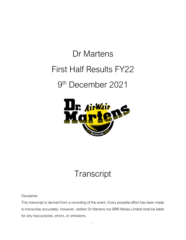## Dr Martens First Half Results FY22 9th December 2021



## **Transcript**

Disclaimer

This transcript is derived from a recording of the event. Every possible effort has been made to transcribe accurately. However, neither Dr Martens nor BRR Media Limited shall be liable for any inaccuracies, errors, or omissions.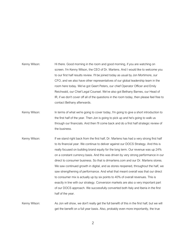- Kenny Wilson: Hi there. Good morning in the room and good morning, if you are watching on screen. I'm Kenny Wilson, the CEO of Dr. Martens. And I would like to welcome you to our first half results review. I'll be joined today as usual by Jon Mortimore, our CFO, and we also have other representatives of our global leadership team in the room here today. We've got Geert Peters, our chief Operator Officer and Emily Reichwald, our Chief Legal Counsel. We've also got Bethany Barnes, our Head of IR, if we don't cover off all of the questions in the room today, then please feel free to contact Bethany afterwards.
- Kenny Wilson: In terms of what we're going to cover today, I'm going to give a short introduction to the first half of the year. Then Jon is going to pick up and he's going to walk us through our financials. And then I'll come back and do a first half strategic review of the business.
- Kenny Wilson: If we stand right back from the first half, Dr. Martens has had a very strong first half to its financial year. We continue to deliver against our DOCS Strategy. And this is really focused on building brand equity for the long term. Our revenue was up 24% on a constant currency basis. And this was driven by very strong performance in our direct to consumer business. So that is drmartens.com and our Dr. Martens stores. We saw continued growth in digital, and as stores reopened, throughout the half, we saw strengthening of performance. And what that meant overall was that our direct to consumer mix is actually up by six points to 40% of overall revenues. This is exactly in line with our strategy. Conversion markets are also a very important part of our DOCS approach. We successfully converted both Italy and Iberia in the first half of the year.

Kenny Wilson: As Jon will show, we don't really get the full benefit of this in the first half, but we will get the benefit on a full year basis. Also, probably even more importantly, the true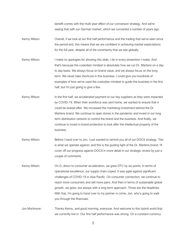benefit comes with the multi-year effect of our conversion strategy. And we're seeing that with our German market, which we converted a number of years ago.

- Kenny Wilson: Overall, if we look at our first half performance and the trading that we've seen since the period end, this means that we are confident in achieving market expectations for the full year, despite all of the uncertainty that we see globally.
- Kenny Wilson: I make no apologies for showing this slide, I do in every presention I make. And that's because the custodian mindset is absolutely how we run Dr. Martens on a day to day basis. We always focus on brand value, and we always focus on the long term. We never take shortcuts in this business. I could give you hundreds of examples of how we've used the custodian mindset to guide the business in the first half, but I'm just going to give a few.
- Kenny Wilson: In the first half, we accelerated payment to our key suppliers as they were impacted by COVID-19. When their workforce was sent home, we wanted to ensure that it could be looked after. We increased the marketing investment behind the Dr. Martens brand. We continue to open stores in the pandemic and invest in our long term distribution network to control the brand and the business. And finally, we continue to invest in brand protection to look after the intellectual property of the business.
- Kenny Wilson: Before I hand over to Jon, I just wanted to remind you all of our DOCS strategy. This is what we operate against, and this is the guiding light of the Dr. Martens brand. I'll cover off our progress against DOCS in more detail in our strategic review by just a couple of comments.
- Kenny Wilson: On D, direct to consumer acceleration, we grew DTC by six points. In terms of operational excellence, our supply chain coped. It was agile against significant challenges of COVID-19 in Asia Pacific. On consumer connection, we continue to reach more consumers and sell more pairs. And then in terms of sustainable global growth, we grew, but always with a long term approach. Those are the headlines. With that, I'm going to hand over to my partner in crime, Jon, who's going to walk you through the financials.
- Jon Mortimore: Thanks Kenny, and good morning, everyone. And welcome to this hybrid world that we currently live in. Our first half performance was strong. On a constant currency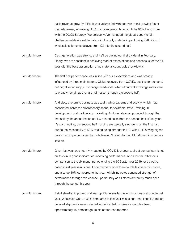basis revenue grew by 24%. It was volume led with our own retail growing faster than wholesale, increasing DTC mix by six percentage points to 40%. Bang in line with the DOCS Strategy. We believe we've managed the global supply chain challenges relatively well to date, with the only material impact being £20million of wholesale shipments delayed from Q2 into the second half.

Jon Mortimore: Cash generation was strong, and we'll be paying our first dividend in February. Finally, we are confident in achieving market expectations and consensus for the full year with the base assumption of no material countrywide lockdowns.

- Jon Mortimore: The first half performance was in line with our expectations and was broadly influenced by three main factors. Global recovery from COVID, positive for demand, but negative for supply. Exchange headwinds, which if current exchange rates were to broadly remain as they are, will lessen through the second half.
- Jon Mortimore: And also, a return to business as usual trading patterns and activity, which had associated increased discretionary spend, for example, travel, training, IT development, and particularly marketing. And was also compounded through the first half by the annualisation of PLC related costs from the second half of last year. It's worth noting, our second half margins are typically stronger than the first half, due to the seasonality of DTC trading being stronger in H2. With DTC having higher gross margin percentages than wholesale. I'll return to the EBITDA margin story in a little bit.
- Jon Mortimore: Given last year was heavily impacted by COVID lockdowns, direct comparison is not on its own, a good indicator of underlying performance. And a better indicator is comparison to the six month period ending the 30 September 2019, or as we've called it last year minus one. Ecommerce is more than double last year minus one, and also up 10% compared to last year, which indicates continued strength of performance through this channel, particularly as all stores are pretty much open through the period this year.
- Jon Mortimore: Retail steadily improved and was up 2% versus last year minus one and double last year. Wholesale was up 33% compared to last year minus one. And if the £20million delayed shipments were included in the first half, wholesale would've been approximately 10 percentage points better than reported.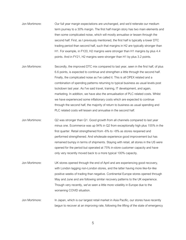- Jon Mortimore: Our full year margin expectations are unchanged, and we'd reiterate our medium term journey to a 30% margin. The first half margin story has two main elements and then some complicated noise, which will mostly annualise or lessen through the second half. First, as I previously mentioned, the first half is typically a lower DTC trading period than second half, such that margins in H2 are typically stronger than H1. For example, in FY20, H2 margins were stronger than H1 margins by plus 4.4 points. And in FY21, H2 margins were stronger than H1 by plus 3.2 points.
- Jon Mortimore: Secondly, the improved DTC mix compared to last year, seen in the first half, of plus 6.6 points, is expected to continue and strengthen a little through the second half. Finally, the complicated noise as I've called it. This is all OPEX related and a combination of spending patterns returning to typical business as usual levels post lockdown last year. As I've said travel, training, IT development, and again, marketing. In addition, we have also the annualisation of PLC related costs. Whilst we have experienced some inflationary costs which are expected to continue through the second half, the majority of return to business as usual spending and PLC related costs will lessen and annualise in the second half.
- Jon Mortimore: Q2 was stronger than Q1. Good growth from all channels compared to last year minus one. Ecommerce was up 94% in Q2 from exceptionally high plus 155% in the first quarter. Retail strengthened from -6% to +8% as stores reopened and performed strengthened. And wholesale experience good improvement but has remained bumpy in terms of shipments. Staying with retail, all stores in the US were opened for the period but operated at 75% in-store customer capacity and have only very recently moved back to a more typical 100% capacity.
- Jon Mortimore: UK stores opened through the end of April and are experiencing good recovery, with London lagging non-London stores, and the latter having more like-for-like positive weeks of trading than negative. Continental Europe stores opened through May and June and are following similar recovery patterns to the UK experience. Though very recently, we've seen a little more volatility in Europe due to the worsening COVID situation.
- Jon Mortimore: In Japan, which is our largest retail market in Asia Pacific, our stores have recently begun to recover at an improving rate, following the lifting of the state of emergency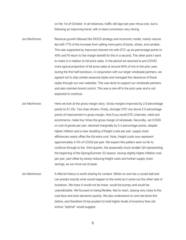on the 1st of October. In all instances, traffic still lags last year minus one, but is following an improving trend, with in-store conversion very strong.

- Jon Mortimore: Revenue growth followed the DOCS strategy and economic model, mainly volume led with 77% of the increase from selling more pairs of boots, shoes, and sandals. This was supported by improved channel mix with DTC up six percentage points to 40% and I'll return to the margin benefit for this in a second. The other point I want to make is in relation to full price sales. In the period we returned to pre-COVID more typical proportion of full price sales at around 90% of mix.In the prior year, during the first half lockdown, in conjunction with our larger wholesale partners, we agreed not to ship certain seasonal styles and managed the clearance of those styles through our own websites. This was done to support our wholesale partners and also maintain brand control. This was a one-off in the prior year and is not expected to continue.
- Jon Mortimore: Here we look at the gross margin story. Gross margins improved by 2.8 percentage points to 61.3%. Two main drivers. Firstly, stronger DTC mix drove 2.5 percentage points of improvement in gross margin. And if you recall DTC channels, retail and ecommerce, make four times the gross margin of wholesale. Secondly, net COGS or cost of goods per pair, declined marginally by 0.4 percentage points, despite higher inflation and a near doubling of freight costs per pair, supply chain efficiencies nearly offset the full extra cost. Note, freight costs now represent approximately 4-5% of COGS per pair. We expect this pattern seen so far to continue through to the third quarter, the seasonally much smaller Q4 representing the beginning of the Spring/Summer 22 season, having slightly higher inflation cost per pair, part offset by slowly reducing freight costs and further supply chain savings, as we move out of peak.
- Jon Mortimore: A little bit history is worth sharing for context. Whilst no one has a crystal ball and can predict exactly what would happen to the world as it came out the other side of lockdown. We knew it would not be linear, would be bumpy and would be unpredictable. We focused on being flexible, fast to react, staying very close to the coal-face and took decisions quickly. We also understood no one had done this before, and therefore it'd be prudent to hold higher levels of inventory than old school "optimal" would suggest.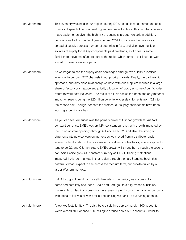- Jon Mortimore: This inventory was held in our region country DCs, being close to market and able to support speed of decision making and maximise flexibility. This last decision was made easier for us given the high mix of continuity product we sell. In addition, decisions we took a couple of years before COVID to increase the geographic spread of supply across a number of countries in Asia, and also have multiple sources of supply for all key components paid dividends, as it gave us some flexibility to move manufacture across the region when some of our factories were forced to close down for a period.
- Jon Mortimore: As we began to see the supply chain challenges emerge, we quickly prioritised inventory to our own DTC channels in our priority markets. Finally, the partnership approach, and also close relationship we have with our suppliers resulted in a large share of factory brain space and priority allocation of labor, as some of our factories return to work post lockdown. The result of all this has so far, been the only material impact on results being the £20million delay to wholesale shipments from Q2 into the second half. Though, beneath the surface, our supply chain teams have been working exceptionally hard.
- Jon Mortimore: As you can see, Americas was the primary driver of first half growth at plus 57% constant currency. EMEA was up 12% constant currency with growth impacted by the timing of store openings through Q1 and early Q2. And also, the timing of shipments into new conversion markets as we moved from a distributor basis, where we tend to ship in the first quarter, to a direct control basis, where shipments tend to be Q2 and Q3. I anticipate EMEA growth will strengthen through the second half. Asia Pacific grew 4% constant currency as COVID trading restrictions impacted the larger markets in that region through the half. Standing back, this pattern is what I expect to see across the medium term, our growth driven by our larger Western markets.
- Jon Mortimore: EMEA had good growth across all channels. In the period, we successfully converted both Italy and Iberia, Spain and Portugal, to a fully owned subsidiary markets. To underpin success, we have given higher focus to the Italian opportunity with Iberia to follow a slower profile, recognising we can't do everything at once.
- Jon Mortimore: A few key facts for Italy. The distributors sold into approximately 1100 accounts. We've closed 700, opened 100, selling to around about 500 accounts. Similar to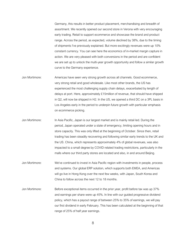Germany, this results in better product placement, merchandising and breadth of assortment. We recently opened our second store in Verona with very encouraging early trading. Retail to support ecommerce and showcase the brand and product range. Across the period, as expected, volume declined by 38%, due to the timing of shipments I've previously explained. But more excitingly revenues were up 10% constant currency. You can see here the economics of in-market margin capture in action. We are very pleased with both conversions in the period and are confident we are set up to unlock the multi-year growth opportunity and follow a similar growth curve to the Germany experience.

- Jon Mortimore: Americas have seen very strong growth across all channels. Good ecommerce, very strong retail and good wholesale. Like most other brands, the US has experienced the most challenging supply chain delays, exacerbated by length of delays at port. Here, approximately £15million of revenue, that should have shipped in Q2, will now be shipped in H2. In the US, we opened a third DC on a 3PL basis in Los Angeles early in the period to underpin future growth with particular emphasis on ecommerce picking.
- Jon Mortimore: In Asia Pacific, Japan is our largest market and is mainly retail led. During the period, Japan operated under a state of emergency, limiting opening hours and in store capacity. This was only lifted at the beginning of October. Since then, retail trading has been steadily recovering and following similar early trends to the UK and the US. China, which represents approximately 4% of global revenues, was also impacted to a small degree by COVID related trading restrictions, particularly in the malls where our third party stores are located and also, in and around Beijing.
- Jon Mortimore: We've continued to invest in Asia Pacific region with investments in people, process and systems. Our global ERP solution, which supports both EMEA, and Americas will go live in Hong Kong over the next few weeks, with Japan, South Korea and China to follow across the next 12 to 18 months.
- Jon Mortimore: Before exceptional items occurred in the prior year, profit before tax was up 37% and earnings per share were up 45%. In line with our guided progressive dividend policy, which has a payout range of between 25% to 35% of earnings, we will pay our first dividend in early February. This has been calculated at the beginning of that range of 25% of half year earnings.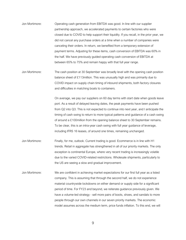- Jon Mortimore: Operating cash generation from EBITDA was good. In line with our supplier partnership approach, we accelerated payments to certain factories who were closed due to COVID to help support their liquidity. If you recall, in the prior year, we did not cancel any purchase orders at a time when a number of companies were canceling their orders. In return, we benefited from a temporary extension of payment terms. Adjusting for these items, cash conversion of EBITDA was 60% in the half. We have previously guided operating cash conversion of EBITDA at between 65% to 75% and remain happy with that full year range.
- Jon Mortimore: The cash position at 30 September was broadly level with the opening cash position balance sheet of £113million. This was unusually high and was primarily due to COVID impact on supply chain timing of inbound shipments, both factory closures and difficulties in matching boats to containers.

On average, we pay our suppliers on 60 day terms with start date when goods leave port. As a result of delayed leaving dates, the peak payments have been pushed from Q2 into Q3. This is not expected to continue into next year, and I anticipate the timing of cash swing to return to more typical patterns and guidance of a cash swing of around a £100million from the opening balance sheet to 30 September remains. To be clear, this is an intra-year cash swing with full year guidance of leverage, including IFRS 16 leases, of around one times, remaining unchanged.

- Jon Mortimore: Finally, for me, outlook. Current trading is good. Ecommerce is in line with H1 trends. Retail in aggregate has strengthened in all of our priority markets. The only exception is continental Europe, where very recent trading is increasingly volatile due to the varied COVID-related restrictions. Wholesale shipments, particularly to the US are seeing a slow and gradual improvement.
- Jon Mortimore: We are confident in achieving market expectations for our first full year as a listed company. This is assuming that through the second half, we do not experience material countrywide lockdowns on either demand or supply side for a significant period of time. For FY23 and beyond, we reiterate guidance previously given. We have a volume-led strategy - sell more pairs of boots, shoes, and sandals to more people through our own channels in our seven priority markets. The economic model assumes across the medium term, price funds inflation. To this end, we will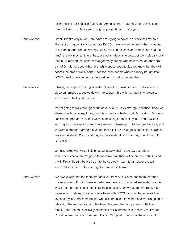be increasing our prices in EMEA and Americas from autumn-winter 22 season. Kenny will return to this topic during his presentation. Thank you.

Kenny Wilson: Great. Thanks very much, Jon. What am I going to cover in our first half review? First of all, I'm going to talk about our DOCS strategy in some detail, then I'm going to talk about our product strategy, which is all about icons and innovation, and the "and" is really important here, because our strategy is to grow our icons globally, and then build beyond the icons. We've got many people who haven't bought their first pair of Dr. Martens yet with a lot of white space opportunity. We know that they will access the brand first in icons. Then for those people who've already bought into DOCS. We'll show you product innovation that builds beyond that.

Kenny Wilson: Thirdly, our approach is digital first and direct to consumer first. That's where we place our emphasis, but we do want to support this with high quality wholesale, which builds the brand globally.

> I'm not going to walk through all the detail of our DOCS strategy, because I know we shared it with you many times, but this is tried and tested and it's working. It's a very consistent approach now that we've been using for multiple years, and DOCS is working for us in every market where we've implemented it. It's our guiding light, and we work extremely hard to make sure that all of our colleagues across the business really understand DOCS, and they also understand how that they contribute to D, O, C or S.

Jon has talked with you a little bit about supply chain under O, operational excellence, and where I'm going to focus my time then will be on the D, the C, and the S. Firstly though, before I go into the strategy, I want to talk about the team which delivers this strategy, our global leadership team.

Kenny Wilson: I've always said that the team that gets you from A to B is not the team that then moves you from B to C. However, what we have with our global leadership team is we've got a group of seasoned industry executives, and we've got that really nice balance now between people who've been with DOCS for a number of years like Jon and myself, and some people who also bring in a fresh perspective. I'm going to talk about the new additions to the team this year. I'm going to start with Adam Meek. Adam joined us officially on the first of December as our new Chief Product Officer. Adam has taken over from Darren Campbell. The two of them did a full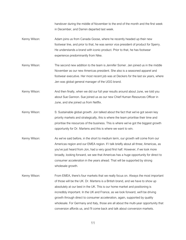handover during the middle of November to the end of the month and the first week in December, and Darren departed last week.

- Kenny Wilson: Adam joins us from Canada Goose, where he recently headed up their new footwear line, and prior to that, he was senior vice president of product for Sperry. He understands a brand with iconic product. Prior to that, he has footwear experience predominantly from Nike.
- Kenny Wilson: The second new addition to the team is Jennifer Somer. Jen joined us in the middle November as our new Americas president. She also is a seasoned apparel and footwear executive. Her most recent job was at Deckers for the last six years, where Jen was global general manager of the UGG brand.
- Kenny Wilson: And then finally, when we did our full year results around about June, we told you about Sue Gannon. Sue joined us as our new Chief Human Resources Officer in June, and she joined us from Netflix.
- Kenny Wilson: S: Sustainable global growth. Jon talked about the fact that we've got seven key priority markets and strategically, this is where the team prioritise their time and prioritise the resources of the business. This is where we've got the biggest growth opportunity for Dr. Martens and this is where we want to win.
- Kenny Wilson: As we've said before, in the short to medium term, our growth will come from our Americas region and our EMEA region. If I talk briefly about all three; Americas, as you've just heard from Jon, had a very good first half. However, if we look more broadly, looking forward, we see that Americas has a huge opportunity for direct to consumer acceleration in the years ahead. That will be supported by strong wholesale growth.
- Kenny Wilson: From EMEA, there's four markets that we really focus on. Always the most important of those will be the UK. Dr. Martens is a British brand, and we have to show up absolutely at our best in the UK. This is our home market and positioning is incredibly important. In the UK and France, as we look forward, we'll be driving growth through direct to consumer acceleration, again, supported by quality wholesale. For Germany and Italy, those are all about the multi-year opportunity that conversion affords us, and I'll come back and talk about conversion markets.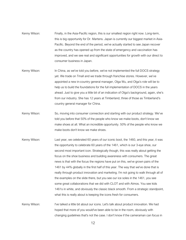- Kenny Wilson: Finally, in the Asia-Pacific region, this is our smallest region right now. Long-term, this is big opportunity for Dr. Martens. Japan is currently our biggest market in Asia-Pacific. Beyond the end of the period, we've actually started to see Japan recover as the country has opened up from the state of emergency and vaccination has improved, and we see real and significant opportunities for growth with our direct to consumer business in Japan.
- Kenny Wilson: In China, as we've told you before, we've not implemented the full DOCS strategy yet. We trade on Tmall and we trade through franchise stores. However, we've appointed a new in-country general manager, Olga Wu, and Olga's role will be to help us to build the foundations for the full implementation of DOCS in the years ahead. Just to give you a little bit of an indication of Olga's background, again, she's from our industry. She has 12 years at Timberland, three of those as Timberland's country general manager for China.
- Kenny Wilson: So, moving into consumer connection and starting with our product strategy. We've told you before that 50% of the people who know we make boots, don't know we make shoes at all. What an incredible opportunity. 50% of the people who know we make boots don't know we make shoes.
- Kenny Wilson: Last year, we celebrated 60 years of our iconic boot, the 1460, and this year, it was the opportunity to celebrate 60 years of the 1461, which is our 3-eye shoe, our second most important icon. Strategically though, this was really about getting the focus on the shoe business and building awareness with consumers. The great news is that with the focus the regions have put on this, we've grown pairs of the 1461 by 44% globally in the first half of this year. The way that we've done that is really through product innovation and marketing. I'm not going to walk through all of the examples on the slide there, but you see our ice soles in the 1461, you see some great collaborations that we did with CLOT and with Atmos. You see kids 1461s in white, and obviously the classic black smooth. From a strategic standpoint, what this is really about is keeping the icons fresh for consumers.

Kenny Wilson: I've talked a little bit about our icons. Let's talk about product innovation. We had hoped that more of you would've been able to be in the room, obviously with changing guidelines that's not the case. I don't know if the cameraman can focus in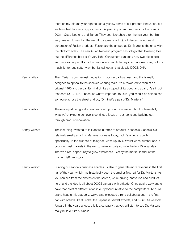there on my left and your right to actually show some of our product innovation, but we launched two very big programs this year, important programs for the brand in 2021 - Quad Neoteric and Tarian. They both launched after the half year, but I'm very pleased to say that they're off to a great start. Quad Neoteric is our next generation of Fusion products. Fusion are the amped up Dr. Martens, the ones with the platform soles. The new Quad Neoteric program has still got that towering look, but the difference here is it's very light. Consumers can get a new two-piece sole and very soft upper. It's for the person who wants to buy into that quad look, but in a much lighter and softer way, but it's still got all that classic DOCS DNA.

- Kenny Wilson: Then Tarian is our newest innovation in our casual business, and this is really designed to appeal to the sneaker-wearing male. It's a reworked version of an original 1460 and casual. It's kind of like a rugged utility boot, and again, it's still got that core DOCS DNA, because what's important to us is, you should be able to see someone across the street and go, "Oh, that's a pair of Dr. Martens."
- Kenny Wilson: These are just two great examples of our product innovation, but fundamentally what we're trying to achieve is continued focus on our icons and building out through product innovation.
- Kenny Wilson: The last thing I wanted to talk about in terms of product is sandals. Sandals is a relatively small part of Dr Martens business today, but it's a huge growth opportunity. In the first half of this year, we're up 45%. Whilst we're number one in boots in most markets in the world, we're actually outside the top 10 in sandals. There's a real opportunity to grow awareness. Clearly the market leader at the moment isBirkenstock.
- Kenny Wilson: Building our sandals business enables us also to generate more revenue in the first half of the year, which has historically been the smaller first half for Dr. Martens. As you can see from the photos on the screen, we're driving innovation and product here, and the idea is all about DOCS sandals with attitude. Once again, we want to have that point of differentiation in our product relative to the competitors. To build brand heat in this category, we've also executed strong collaborations in the first half with brands like Suicoke, the Japanese sandal experts, and X-Girl. As we look forward in the years ahead, this is a category that you will start to see Dr. Martens really build out its business.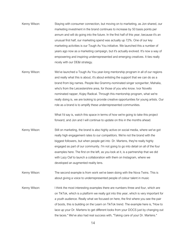- Kenny Wilson: Staying with consumer connection, but moving on to marketing, as Jon shared, our marketing investment in the brand continues to increase by 50 basis points per annum and will do going into the future. In the first half of this year, because it's an unusual first half, our marketing spend was actually up 72%. One of our key marketing activities is our Tough As You initiative. We launched this a number of years ago now as a marketing campaign, but it's actually evolved. It's now a way of empowering and inspiring underrepresented and emerging creatives. It ties really nicely with our DE&I strategy.
- Kenny Wilson: We've launched a Tough As You year-long mentorship program in all of our regions and really what this is about, it's about enlisting the support that we can do as a brand from big names. People like Grammy-nominated singer songwriter, Mahalia, who's from the Leicestershire area, for those of you who know. Ivor Novello nominated rapper, Kojey Radical. Through this mentorship program, what we're really doing is, we are looking to provide creative opportunities for young artists. Our role as a brand is to amplify these underrepresented communities.

What I'd say is, watch this space in terms of how we're going to take this project forward, and Jon and I will continue to update on this in the months ahead.

Kenny Wilson: Still on marketing, the brand is also highly active on social media, where we've got really high engagement rates to our competitors. We're not the brand with the biggest followers, but when people get into Dr. Martens, they're really highly engaged as part of our community. I'm not going to go into detail on all of the four examples here. The first on the left, as you look at it, is a partnership that we did with Lazy Oaf to launch a collaboration with them on Instagram, where we developed an augmented reality lens.

Kenny Wilson: The second example is from work we've been doing with the Nova Twins. This is about giving a voice to underrepresented people of colour talent in music

Kenny Wilson: I think the most interesting examples there are numbers three and four, which are on TikTok, which is a platform we really got into this year, which is very important for a youth audience. Really what we focused on here, the first where you see the pair of boots, this is building on the Learn on TikTok trend. The example here is, "How to lace up your Dr. Martens to get different looks from your DOCS just by changing out the laces." We've also had real success with, "Taking care of your Dr. Martens."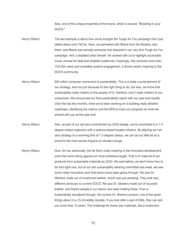Also, one of the unique properties of the brand, which is around, "Breaking in your DOCS."

- Kenny Wilson: The last example is about how we've brought the Tough As You campaign that I just talked about onto TikTok. Here, we partnered with Blaine from the Mystery Jets there, and Blaine was actually someone who featured in our very first Tough As You campaign. He's a disabled artist himself. He worked with us to highlight accessible music venues for deaf and disabled audiences. Inspiringly, this received more than 750,000 views and incredibly positive engagement. It shows what's inspiring to the DOCS community.
- Kenny Wilson: Still within consumer connection is sustainability. This is a really crucial element of our strategy, and not just because it's the right thing to do, but also, we know that sustainability really matters to the people of Dr. Martens, and it really matters to our consumers. We announced our first sustainability report with our year-end results. Over the last few months, what we've been working on is building really detailed roadmaps, identifying the metrics and the KPIs to track our progress on what we shared with you at the year end.
- Kenny Wilson: Also, as part of our net zero commitment by 2030 pledge, we've committed to a 1.5 degree celsius trajectory with a science-based targets initiative. By aligning our net zero strategy to a warming limit of 1.5 degree celsius, we can do our little bit as a brand to the most severe impacts of climate change.
- Kenny Wilson: Now, for me, personally, the bit that's really inspiring is the innovative development work that we're doing against our most ambitious target. That is to make all of our products from sustainable materials by 2040. We said before, we don't know how to do that right now, but at our last sustainability steering committee last week, we saw some really innovative work that teams have been going through. We saw Dr. Martens made out of mushroom leather, which was just amazing. They look very different obviously to current DOCS. We saw Dr. Martens made out of recycled leather, and there's people in our teams now wear-trialling those. From a sustainability standpoint though, the current Dr. Martens product, one of the great things about it is, it's incredibly durable. If you look after a pair of DMs, they can last you more than 10 years. The challenge for these new materials, like a mushroom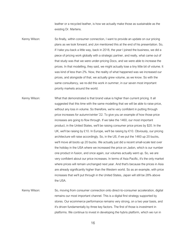leather or a recycled leather, is how we actually make those as sustainable as the existing Dr. Martens.

Kenny Wilson: So finally, within consumer connection, I want to provide an update on our pricing plans as we look forward, and Jon mentioned this at the end of his presentation. So, if I take you back a little way, back in 2018, the year I joined the business, we did a piece of pricing work globally with a strategic partner, and really, what came out of that study was that we were under-pricing Docs, and we were able to increase the prices. In that modelling, they said, we might actually lose a tiny little bit of volume. It was kind of less than 2%. Now, the reality of what happened was we increased our prices, and alongside of that, we actually grew volume, as we know. So with the same consultancy, we re-did this work in summer, in our seven most important priority markets around the world.

Kenny Wilson: What that demonstrated is that brand value is higher than current pricing. It all suggested that this time with the same modelling that we will be able to raise price, without any loss in volume. So therefore, we're very confident in putting through price increases for autumn/winter '22. To give you an example of how those price increases are going to flow through. If we take the 1460, our most important product, in the United States, we'll be raising consumer price prices by \$20. In the UK, we'll be raising by £10. In Europe, we'll be raising by  $\epsilon$ 10. Obviously, our pricing architecture will raise accordingly. So, in the US, if we put the 1460 up 20 bucks, we'll move all boots up 20 bucks. We actually just did a recent small-scale test over the holiday in the USA where we increased the price on Jadon, which is our number one product in fusion, and once again, our volumes actually went up. So, we are very confident about our price increases. In terms of Asia Pacific, it's the only market where prices will remain unchanged next year. And that's because the prices in Asia are already significantly higher than the Western world. So as an example, with price increases that we'll put through in the United States, Japan will still be 28% above the USA.

Kenny Wilson: So, moving from consumer connection onto direct-to-consumer acceleration, digital remains our most important channel. This is a digital first strategy supported by stores. Our ecommerce performance remains very strong, on a two year basis, and it's driven fundamentally by three key factors. The first of those is investment in platforms. We continue to invest in developing the hybris platform, which we run in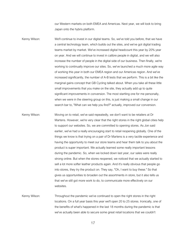our Western markets on both EMEA and Americas. Next year, we will look to bring Japan onto the hybris platform.

- Kenny Wilson: We'll continue to invest in our digital teams. So, we've told you before, that we have a central technology team, which builds out the sites, and we've got digital trading teams market by market. We've increased digital headcount this year by 20% year on year. And we will continue to invest in calibre people in digital, and we will also increase the number of people in the digital side of our business. Then finally, we're working to continually improve our sites. So, we've launched a much more agile way of working this year in both our EMEA region and our Americas region. And we've increased significantly, the number of A-B tests that we perform. This is a bit like the marginal gains concept that GB Cycling talked about. When you take all these little small improvements that you make on the site, they actually add up to quite significant improvements in conversion. The most startling one for me personally, when we were in the steering group on this, is just making a small change in our search bar to, "What can we help you find?" actually, improved our conversion.
- Kenny Wilson: Moving on to retail, we've said repeatedly, we don't want to be retailers at Dr Martens. However, we're very clear that the right stores in the right global cities help to support our websites. So, we are committed to opening stores. As Jon said earlier, we've had a really encouraging start to retail reopening globally. One of the things we know is that trying on a pair of Dr Martens is a very tactile experience and having the opportunity to meet our store teams and hear them talk to you about the product is super important. We actually learned some really important lessons during the pandemic. So, when we locked down last year, our sales were really strong online. But when the stores reopened, we noticed that we actually started to sell a lot more softer leather products again. And it's really obvious that people go into stores, they try the product on. They say, "Oh, I want to buy these." So that gives us opportunities to broaden out the assortments in store, but it also tells us that we've still got more work to do, to communicate more effectively on our websites.
- Kenny Wilson: Throughout the pandemic we've continued to open the right stores in the right locations. On a full year basis this year we'll open 20 to 25 stores. Ironically, one of the benefits of what's happened in the last 18 months during the pandemic is that we've actually been able to secure some great retail locations that we couldn't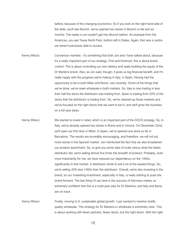before, because of the changing economics. So if you look on the right hand side of the slide, you'll see Munich, we've opened two stores in Munich in the last six months. The reality is we couldn't get into Munich before. An example from the Americas, you see Texas North Park, bottom left in Dallas. Again, that was a centre we weren't previously able to access.

Kenny Wilson: Conversion markets - it's something that both Jon and I have talked about, because it's a really important part of our strategy. First and foremost, this is about brand control. This is about controlling our own destiny and really building the equity of the Dr Martens brand. Also, as Jon said, though, it gives us big financial benefit, and I'm really happy with the progress we're making in Italy, in Spain. Having had the opportunity to be in both Milan and Rome, very recently. Some of the things that we've done, we've reset wholesale in both markets. So, Italy is now trading in less than half the doors the distributor was trading from. Spain is trading from 20% of the doors that the distributor is trading from. So, we've cleaned up those markets and we've focused on the right doors that we want to be in, and we'll grow the business on a full year basis.

Kenny Wilson: We started to invest in retail, which is an important part of the DOCS strategy. So, in Italy, we've already opened two stores in Rome and in Verona. On December 22nd, we'll open our first door in Milan. In Spain, we've opened one store so far in Barcelona. The results are incredibly encouraging, and therefore, we will roll out more stores in the Spanish market. Jon mentioned the fact that we also broadened our product assortment. So, to give you some idea of scale versus what the Italian distributor did, we're selling almost five times the breadth of product. Probably, even more importantly for me, we have reduced our dependency on the 1460s, significantly in that market. A distributor tends to sell a lot of the easiest things. So, we're selling 20% less 1460s than the distributor. Overall, we're also investing in the brand, so our marketing investment, especially in Italy, is really starting to push the brand forward. The last thing I'd say here is the success of Germany makes us extremely confident that this is a multi-year play for Dr Martens, and Italy and Iberia are on track.

Kenny Wilson: Finally, moving to S, sustainable global growth. I just wanted to mention briefly quality wholesale. This strategy for Dr Martens in wholesale is extremely clear. This is about working with fewer partners, fewer doors, but the right doors. With the right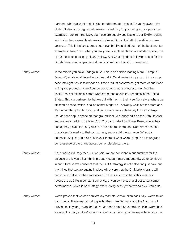partners, what we want to do is also to build branded space. As you're aware, the United States is our biggest wholesale market. So, I'm just going to give you some examples here from the USA, but these are equally applicable to our EMEA region, which also has a sizeable wholesale business. So, on the left of the slide, you see Journeys. This is just an average Journeys that I've picked out, not the best one, for example, in New York. What you really see is implementation of branded space, use of our iconic colours in black and yellow. And what this does is it wins space for the Dr. Martens brand all year round, and it signals our brand to consumers.

- Kenny Wilson: In the middle you have Bodega in LA. This is an opinion leading store "amp" or "energy", whatever different industries call it. What we're trying to do with our amp accounts right now is to broaden out the product assortment, get more of our Made In England product, more of our collaborations, more of our archive. And then finally, the last example is from Nordstrom, one of our key accounts in the United States. This is a partnership that we did with them in their New York store, where we claimed a space, which is called centre stage. You basically walk into the store and it's the first thing that hits you, and consumers were able to buy from an enlarged Dr. Martens popup space on that ground floor. We launched it on the 15th October, and we launched it with a New York City band called Sunflower Bean, where they came, they played live, as you see in the pictures there, and Nordstrom beamed that via social media to their consumers, and we did the same on DM social channels. So just a little bit of a flavour there of what we're trying to do to upgrade our presence of the brand across our wholesale partners.
- Kenny Wilson: So, bringing it all together. As Jon said, we are confident in our numbers for the balance of this year. But I think, probably equally more importantly, we're confident in our future. We're confident that the DOCS strategy is not delivering just now, but the things that we are putting in place will ensure that the Dr. Martens brand will continue to deliver in the years ahead. In the first six months of this year, our revenue is up 24% in constant currency, driven by the strong direct-to-consumer performance, which is on strategy. We're doing exactly what we said we would do.
- Kenny Wilson: We've proven that we can convert key markets. We've taken back Italy. We've taken back Iberia. These markets along with others, like Germany and the Nordics will provide multi-year growth for the Dr. Martens brand. So overall, we think we've had a strong first half, and we're very confident in achieving market expectations for the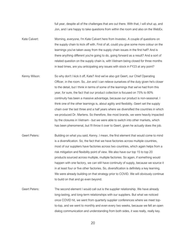full year, despite all of the challenges that are out there. With that, I will shut up, and Jon, and I are happy to take questions from within the room and also on the WebEx.

Kate Calvert: Morning, everyone, I'm Kate Calvert here from Investec. A couple of questions on the supply chain to kick off with. First of all, could you give some more colour on the learnings you've taken away from the supply chain issues in the first half? And is there anything different you're going to do, going forward as a result? And a sort of related question on the supply chain is, with Vietnam being closed for three months in lead times, are you anticipating any issues with stock in FY23 at any point?

Kenny Wilson: So why don't I kick it off, Kate? And we've also got Geert, our Chief Operating Officer, in the room. So, Jon and I can relieve ourselves of the duty given he's closer to the detail, but I think in terms of some of the learnings that we've had from this year, for sure, the fact that our product collection is focused on 75% to 80% continuity has been a massive advantage, because our product is non-seasonal. I think one of the other learnings is, about agility and flexibility. Geert set the supply chain over the last three and a half years where we diversified the countries in which we produced Dr. Martens. So therefore, like most brands, we were heavily impacted by the closures in Vietnam - but we were able to switch into other markets, which has been phenomenal, but I'll throw it over to Geert, given he actually does the job.

Geert Peters: Building on what you said, Kenny. I mean, the first element that would come to mind is a diversification. So, the fact that we have factories across multiple countries, most of our suppliers have factories across two countries, which again helps from a risk mitigation and flexibility point of view. We also have our top 15 to top 20 products sourced across multiple, multiple factories. So again, if something would happen with one factory, we can still have continuity of supply, because we source it in at least four or five other factories. So, diversification is definitely a key learning. We were already building on that strategy prior to COVID. We will obviously continue to build on that and go even beyond.

Geert Peters: The second element I would call out is the supplier relationship. We have already long-lasting, and long-term relationships with our suppliers. But what we noticed once COVID hit, we went from quarterly supplier conferences where we meet topto-top, and we went to monthly and even every two weeks, because we felt an open dialog communication and understanding from both sides, it was really, really key.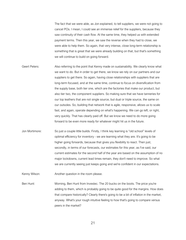The fact that we were able, as Jon explained, to tell suppliers, we were not going to cancel POs. I mean, I could see an immense relief for the suppliers, because they saw continuity of their cash flow. At the same time, they helped us with extended payment terms. Then this year, we saw the reverse when they had to close, we were able to help them. So again, that very intense, close long-term relationship is something that is great that we were already building on that, but that's something we will continue to build on going forward.

- Geert Peters: Also referring to the point that Kenny made on sustainability. We clearly know what we want to do. But in order to get there, we know we rely on our partners and our suppliers to get there. So again, having close relationships with suppliers that are long-term focused, and at the same time, continue to focus on diversification from the supply base, both tier one, which are the factories that make our product, but also tier two, the component suppliers. So making sure that we have tanneries for our top leathers that are not single source, but dual or triple source, the same on our outsoles. So, building that network that is agile, responsive, allows us to scale fast, and again, operate depending on what's happening. We can go left, or right, very quickly. That has clearly paid off. But we know we need to do more going forward to be even more ready for whatever might hit us in the future.
- Jon Mortimore: So just a couple little builds. Firstly, I think key learning is "old school" levels of optimal efficiency for inventory - we are learning what they are. It's going to be higher going forwards, because that gives you flexibility to react. Then just, secondly, in terms of our forecasts, our estimates for this year, as I've said, our current estimates for the second half of the year are based on the assumption of no major lockdowns, current lead times remain, they don't need to improve. So what we are currently seeing just keeps going and we're confident in our expectations.
- Kenny Wilson: Another question in the room please.

Ben Hunt: Morning, Ben Hunt from Investec. The 20 bucks on the boots. The price you're adding to them, which is probably going to be quite good for the margins. How does that compare historically? Clearly there's going to be a bit of inflation in the market, anyway. What's your rough intuitive feeling to how that's going to compare versus peers in the market?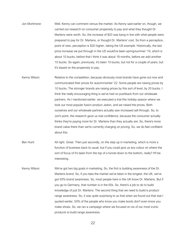- Jon Mortimore: Well, Kenny can comment versus the market. As Kenny said earlier on, though, we carried out research on consumer propensity to pay and what they thought Dr. Martens were worth. So, the increase of \$20 was bang in line with what people were prepared to pay for Dr. Martens, or thought Dr. Martens' cost. So from a perception, point of view, perception is \$20 higher, taking the US example. Historically, the last price increase we put through in the US would've been spring/summer '19, which is about 10 bucks, before that I think it was about 18 months, before we add another 10 bucks. So again, previously, it's been 10 bucks, but not for a couple of years, but it's based on the propensity to pay.
- Kenny Wilson: Relative to the competition, because obviously most brands have gone out now and communicated their prices for autumn/winter '22. Some people are raising prices by 10 bucks. The stronger brands are raising prices by this sort of level, by 20 bucks. I think the really encouraging thing is we've had no pushback from our wholesale partners. As I mentioned earlier, we executed a trial this holiday season where we took our most popular fusion product Jadon, and we raised the prices. Both ourselves and our wholesale partners actually saw increased sell through. So, to Jon's point, the research gave us real confidence, because the consumer actually thinks they're paying more for Dr. Martens than they actually are. So, there's more brand value there than we're currently charging on pricing. So, we do feel confident about this.
- Ben Hunt: All right. Great. Then just secondly, on the step up in marketing, which is more a function of business back to usual, but if you could give us any colour on where the sort of focus of it's been from the top of a funnel down to the bottom, really? It'll be interesting.
- Kenny Wilson: We've got two big goals in marketing. So, the first is building awareness of the Dr. Martens brand. So, if you take the market we've been in the longest, the UK, we've got 93% brand awareness. So, most people here in the UK know Dr. Martens. But if you go to Germany, that number is in the 60s. So, there's a job to do to build knowledge of just Dr. Martens. The second thing that we need to build is product range awareness. So, it was quite surprising to us that when we found out that stat I quoted earlier, 50% of the people who know you make boots don't even know you make shoes. So, we ran a campaign where we focused on six of our most iconic products to build range awareness.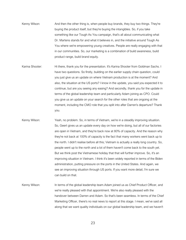- Kenny Wilson: And then the other thing is, when people buy brands, they buy two things. They're buying the product itself, but they're buying the intangibles. So, if you take something like our Tough As You campaign, that's all about communicating what Dr. Martens stands for and what it believes in, and the initiative around Tough As You where we're empowering young creatives. People are really engaging with that in our communities. So, our marketing is a combination of build awareness, build product range, build brand equity.
- Karina Shooter: Hi there, thank you for the presentation. It's Karina Shooter from Goldman Sachs. I have two questions. So firstly, building on the earlier supply chain question, could you just give us an update on where Vietnam production is at the moment? And also, the situation at the US ports? I know in the update, you said you expected it to continue, but are you seeing any easing? And secondly, thank you for the update in terms of the global leadership team and particularly Adam joining as CPO. Could you give us an update on your search for the other roles that are ongoing at the moment, including the CMO role that you split into after Darren's departure? Thank you.
- Kenny Wilson: Yeah, no problem. So, in terms of Vietnam, we're in a steadily improving situation. So, Geert gives us an update every day on how we're doing, but all of our factories are open in Vietnam, and they're back now at 80% of capacity. And the reason why they're not back at 100% of capacity is the fact that many workers went back up to the north. I didn't realise before all this; Vietnam is actually a really long country. So, people went up to the north and a lot of them haven't come back to the south yet. But we think post the Vietnamese holiday that that will further improve. So, it's an improving situation in Vietnam. I think it's been widely reported in terms of the Biden administration, putting pressure on the ports in the United States. And again, we see an improving situation through US ports. If you want more detail, I'm sure we can build on that.
- Kenny Wilson: In terms of the global leadership team.Adam joined us as Chief Product Officer, and we're really pleased with that appointment. We're also really pleased with the handover between Darren and Adam. So that's been seamless. In terms of the Chief Marketing Officer, there's no real news to report at this stage. I mean, we've said all along that we want quality individuals on our global leadership team, and we haven't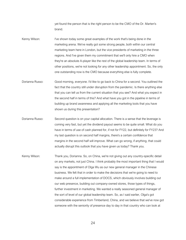yet found the person that is the right person to be the CMO of the Dr. Marten's brand.

- Kenny Wilson: I've shown today some great examples of the work that's being done in the marketing arena. We've really got some strong people, both within our central marketing team here in London, but the vice presidents of marketing in the three regions. And I've given them my commitment that we'll only hire a CMO when they're an absolute A-player like the rest of the global leadership team. In terms of other positions, we're not looking for any other leadership appointment. So, the only one outstanding now is the CMO because everything else is fully complete.
- Dorianna Russo: Good morning, everyone. I'd like to go back to China for a second. You outlined the fact that the country still under disruption from the pandemic. Is there anything else that you can tell us from the current situation that you see? And what you expect in the second half in terms of this? And what have you got in the pipeline in terms of building up brand awareness and applying all the marketing tools that you have shown us during this presentation?
- Dorianna Russo: Second question is on your capital allocation. There is a sense that the leverage is coming very fast, but yet the dividend payout seems to be quite small. What do you have in terms of use of cash planned for, if not for FY22, but definitely for FY23? And my last question is on second half margins, there's a certain confidence that margins in the second half will improve. What can go wrong, if anything, that could actually disrupt this outlook that you have given us today? Thank you.
- Kenny Wilson: Thank you, Dorianna. So, on China, we're not giving out any country-specific detail on any markets, not just China. I think probably the most important thing that I would say is the appointment of Olga Wu as our new general manager in the Chinese business. We felt that in order to make the decisions that we're going to need to make around a full implementation of DOCS, which obviously involves building out our web presence, building out company-owned stores, those types of things, further investment in marketing. We wanted a really seasoned general manager of the sort of level of our global leadership team. So, as I said earlier, Olga's got considerable experience from Timberland, China, and we believe that we've now got someone with the seniority of presence day to day in that country who can look at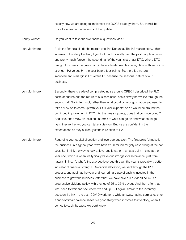exactly how we are going to implement the DOCS strategy there. So, there'll be more to follow on that in terms of the update.

Kenny Wilson: Do you want to take the two financial questions, Jon?

Jon Mortimore: I'll do the financial.If I do the margin one first Dorianna. The H2 margin story. I think in terms of the story I've told, if you look back typically over the past couple of years, and pretty much forever, the second half of the year is stronger DTC. Where DTC has got four times the gross margin to wholesale. And last year, H2 was three points stronger, H2 versus H1 the year before four points. So, there is a natural improvement in margin in H2 versus H1 because the seasonal nature of our business.

Jon Mortimore: Secondly, there is a pile of complicated noise around OPEX. I described the PLC costs annualise out, the return to business usual costs slowly normalise through the second half. So, in terms of, rather than what could go wrong, what do you need to take a view on to come up with your full-year expectation? It would be around the continued improvement in DTC mix, the plus six points, does that continue or not? And also, one's view on inflation. In terms of what can go on and what could go right, they're the two you can take a view on. But we are confident in the expectations as they currently stand in relation to H2.

Jon Mortimore: Regarding your capital allocation and leverage question. The first point I'd make is the business, in a typical year, we'd have £100 million roughly cash swing at the half year. So, I think the way to look at leverage is rather than at a point in time at the year end, which is when we typically have our strongest cash balance, just from natural timing, it's what's the average leverage through the year is probably a better indicator of financial strength. On capital allocation, we said through the IPO process, and again at the year end, our primary use of cash is invested in the business to grow the business. After that, we have said our dividend policy is a progressive dividend policy with a range of 25 to 35% payout. And then after that, we'll need to wait and see where we end up. But again, similar to the inventory question, I think in the post-COVID world for a while anyway, having surplus cash or a "non-optimal" balance sheet is a good thing when it comes to inventory, when it comes to cash, because we don't know.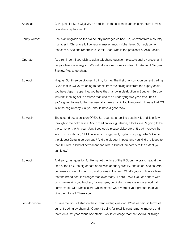- Arianna: Can I just clarify, is Olga Wu an addition to the current leadership structure in Asia or is she a replacement?
- Kenny Wilson: She is an upgrade on the old country manager we had. So, we went from a country manager in China to a full general manager, much higher level. So, replacement in that sense. And she reports into Derek Chan, who is the president of Asia Pacific.
- Operator : As a reminder, if you wish to ask a telephone question, please signal by pressing \*1 on your telephone keypad. We will take our next question from Ed Aubin of Morgan Stanley. Please go ahead.
- Ed Aubin: Hi guys. So, three quick ones, I think, for me. The first one, sorry, on current trading. Given that in Q3 you're going to benefit from the timing shift from the supply chain, you have Japan reopening, you have the change in distribution in Southern Europe, wouldn't it be logical to assume that kind of an underlying two-year stack basis you're going to see further sequential acceleration in top line growth, I guess that Q3 is in the bag already. So, you should have a good view.
- Ed Aubin: The second question is on OPEX. So, you had a top line beat in H1, and little flow through to the bottom line. And based on your guidance, it looks like it's going to be the same for the full year. Jon, if you could please elaborate a little bit more on the kind of cost inflation, OPEX inflation on wage, rent, digital, shipping. What's kind of the biggest Delta in percentage? And the biggest impact, and you kind of alluded to that, but what's kind of permanent and what's kind of temporary to the extent you can know?
- Ed Aubin: And sorry, last question for Kenny. At the time of the IPO, on the brand heat at the time of the IPO, the big debate about was about cyclicality, and so on, and so forth, because you went through up and downs in the past. What's your confidence level that the brand heat is stronger than ever today? I don't know if you can share with us some metrics you tracked, for example, on digital, or maybe some anecdotal conversation with wholesalers, which maybe want more of your product than you give them to sell. Thank you.
- Jon Mortimore: If I take the first, if I start on the current trading question. What we said, in terms of current trading by channel.. Current trading for retail is continuing to improve and that's on a last year minus one stack. I would envisage that that should, all things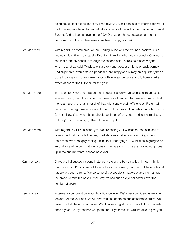being equal, continue to improve. That obviously won't continue to improve forever. I think the key watch out that would take a little bit of the froth off is maybe continental Europe. And to keep an eye on the COVID situation there, because our recent performance in the last few weeks has been bumpy, as I said.

Jon Mortimore: With regard to ecommerce, we are trading in line with the first half, positive. On a two-year view, things are up significantly. I think it's, what, nearly double. One would see that probably continue through the second half. There's no reason why not, which is what we said. Wholesale is a tricky one, because it is notoriously bumpy. And shipments, even before a pandemic, are lumpy and bumpy on a quarterly basis. So, all I can say is, I think we're happy with full-year guidance and full-year market expectations for the full year, for this year.

Jon Mortimore: In relation to OPEX and inflation. The largest inflation we've seen is in freight costs, whereas I said, freight costs per pair have more than doubled. We've virtually offset the vast majority of that, if not all of that, with supply chain efficiencies. Freight will continue to be high, we anticipate, through Christmas and probably through to post-Chinese New Year when things should begin to soften as demand just normalises. But they'll still remain high, I think, for a while yet.

Jon Mortimore: With regard to OPEX inflation, yes, we are seeing OPEX inflation. You can look at government data for all of our key markets, see what inflation's running at. And that's what we're roughly seeing. I think that underlying OPEX inflation is going to be around for a while yet. That's why one of the reasons that we are moving our prices up in the autumn-winter season next year.

Kenny Wilson: On your third question around historically the brand being cyclical. I mean I think that we said at IPO and we still believe this to be correct, that the Dr. Marten's brand has always been strong. Maybe some of the decisions that were taken to manage the brand weren't the best. Hence why we had such a cyclical pattern over the number of years.

Kenny Wilson: In terms of your question around confidence level. We're very confident as we look forward. At the year end, we will give you an update on our latest brand study. We haven't got all the numbers in yet. We do a very big study across all of our markets once a year. So, by the time we get to our full-year results, we'll be able to give you